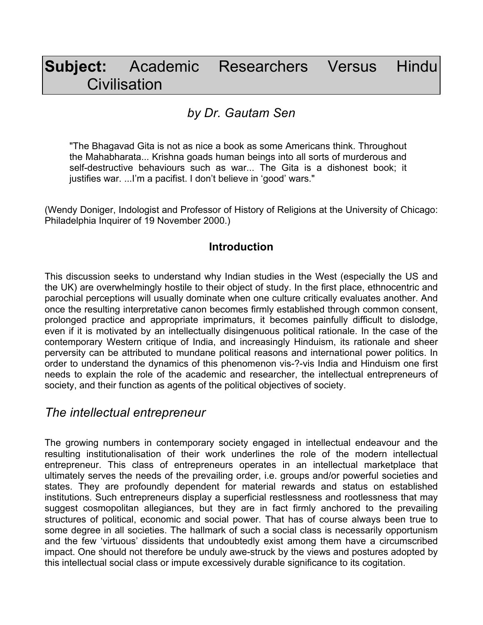# **Subject:** Academic Researchers Versus Hindu **Civilisation**

# *by Dr. Gautam Sen*

"The Bhagavad Gita is not as nice a book as some Americans think. Throughout the Mahabharata... Krishna goads human beings into all sorts of murderous and self-destructive behaviours such as war... The Gita is a dishonest book; it justifies war. ...I'm a pacifist. I don't believe in 'good' wars."

(Wendy Doniger, Indologist and Professor of History of Religions at the University of Chicago: Philadelphia Inquirer of 19 November 2000.)

#### **Introduction**

This discussion seeks to understand why Indian studies in the West (especially the US and the UK) are overwhelmingly hostile to their object of study. In the first place, ethnocentric and parochial perceptions will usually dominate when one culture critically evaluates another. And once the resulting interpretative canon becomes firmly established through common consent, prolonged practice and appropriate imprimaturs, it becomes painfully difficult to dislodge, even if it is motivated by an intellectually disingenuous political rationale. In the case of the contemporary Western critique of India, and increasingly Hinduism, its rationale and sheer perversity can be attributed to mundane political reasons and international power politics. In order to understand the dynamics of this phenomenon vis-?-vis India and Hinduism one first needs to explain the role of the academic and researcher, the intellectual entrepreneurs of society, and their function as agents of the political objectives of society.

## *The intellectual entrepreneur*

The growing numbers in contemporary society engaged in intellectual endeavour and the resulting institutionalisation of their work underlines the role of the modern intellectual entrepreneur. This class of entrepreneurs operates in an intellectual marketplace that ultimately serves the needs of the prevailing order, i.e. groups and/or powerful societies and states. They are profoundly dependent for material rewards and status on established institutions. Such entrepreneurs display a superficial restlessness and rootlessness that may suggest cosmopolitan allegiances, but they are in fact firmly anchored to the prevailing structures of political, economic and social power. That has of course always been true to some degree in all societies. The hallmark of such a social class is necessarily opportunism and the few 'virtuous' dissidents that undoubtedly exist among them have a circumscribed impact. One should not therefore be unduly awe-struck by the views and postures adopted by this intellectual social class or impute excessively durable significance to its cogitation.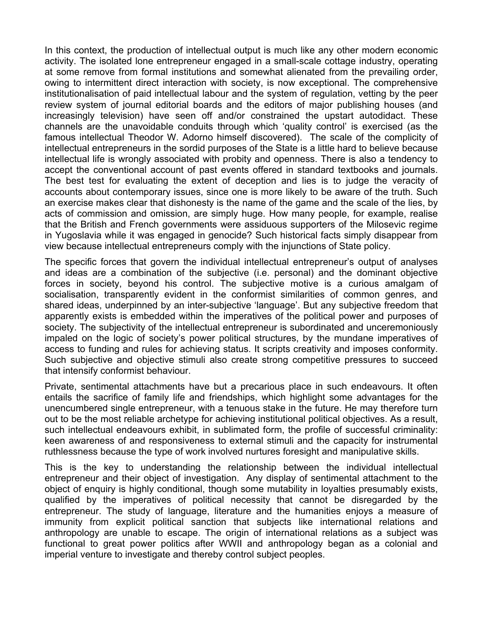In this context, the production of intellectual output is much like any other modern economic activity. The isolated lone entrepreneur engaged in a small-scale cottage industry, operating at some remove from formal institutions and somewhat alienated from the prevailing order, owing to intermittent direct interaction with society, is now exceptional. The comprehensive institutionalisation of paid intellectual labour and the system of regulation, vetting by the peer review system of journal editorial boards and the editors of major publishing houses (and increasingly television) have seen off and/or constrained the upstart autodidact. These channels are the unavoidable conduits through which 'quality control' is exercised (as the famous intellectual Theodor W. Adorno himself discovered). The scale of the complicity of intellectual entrepreneurs in the sordid purposes of the State is a little hard to believe because intellectual life is wrongly associated with probity and openness. There is also a tendency to accept the conventional account of past events offered in standard textbooks and journals. The best test for evaluating the extent of deception and lies is to judge the veracity of accounts about contemporary issues, since one is more likely to be aware of the truth. Such an exercise makes clear that dishonesty is the name of the game and the scale of the lies, by acts of commission and omission, are simply huge. How many people, for example, realise that the British and French governments were assiduous supporters of the Milosevic regime in Yugoslavia while it was engaged in genocide? Such historical facts simply disappear from view because intellectual entrepreneurs comply with the injunctions of State policy.

The specific forces that govern the individual intellectual entrepreneur's output of analyses and ideas are a combination of the subjective (i.e. personal) and the dominant objective forces in society, beyond his control. The subjective motive is a curious amalgam of socialisation, transparently evident in the conformist similarities of common genres, and shared ideas, underpinned by an inter-subjective 'language'. But any subjective freedom that apparently exists is embedded within the imperatives of the political power and purposes of society. The subjectivity of the intellectual entrepreneur is subordinated and unceremoniously impaled on the logic of society's power political structures, by the mundane imperatives of access to funding and rules for achieving status. It scripts creativity and imposes conformity. Such subjective and objective stimuli also create strong competitive pressures to succeed that intensify conformist behaviour.

Private, sentimental attachments have but a precarious place in such endeavours. It often entails the sacrifice of family life and friendships, which highlight some advantages for the unencumbered single entrepreneur, with a tenuous stake in the future. He may therefore turn out to be the most reliable archetype for achieving institutional political objectives. As a result, such intellectual endeavours exhibit, in sublimated form, the profile of successful criminality: keen awareness of and responsiveness to external stimuli and the capacity for instrumental ruthlessness because the type of work involved nurtures foresight and manipulative skills.

This is the key to understanding the relationship between the individual intellectual entrepreneur and their object of investigation. Any display of sentimental attachment to the object of enquiry is highly conditional, though some mutability in loyalties presumably exists, qualified by the imperatives of political necessity that cannot be disregarded by the entrepreneur. The study of language, literature and the humanities enjoys a measure of immunity from explicit political sanction that subjects like international relations and anthropology are unable to escape. The origin of international relations as a subject was functional to great power politics after WWII and anthropology began as a colonial and imperial venture to investigate and thereby control subject peoples.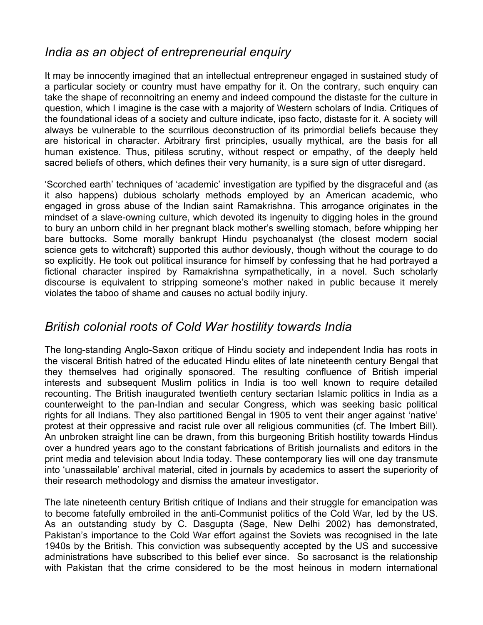## *India as an object of entrepreneurial enquiry*

It may be innocently imagined that an intellectual entrepreneur engaged in sustained study of a particular society or country must have empathy for it. On the contrary, such enquiry can take the shape of reconnoitring an enemy and indeed compound the distaste for the culture in question, which I imagine is the case with a majority of Western scholars of India. Critiques of the foundational ideas of a society and culture indicate, ipso facto, distaste for it. A society will always be vulnerable to the scurrilous deconstruction of its primordial beliefs because they are historical in character. Arbitrary first principles, usually mythical, are the basis for all human existence. Thus, pitiless scrutiny, without respect or empathy, of the deeply held sacred beliefs of others, which defines their very humanity, is a sure sign of utter disregard.

'Scorched earth' techniques of 'academic' investigation are typified by the disgraceful and (as it also happens) dubious scholarly methods employed by an American academic, who engaged in gross abuse of the Indian saint Ramakrishna. This arrogance originates in the mindset of a slave-owning culture, which devoted its ingenuity to digging holes in the ground to bury an unborn child in her pregnant black mother's swelling stomach, before whipping her bare buttocks. Some morally bankrupt Hindu psychoanalyst (the closest modern social science gets to witchcraft) supported this author deviously, though without the courage to do so explicitly. He took out political insurance for himself by confessing that he had portrayed a fictional character inspired by Ramakrishna sympathetically, in a novel. Such scholarly discourse is equivalent to stripping someone's mother naked in public because it merely violates the taboo of shame and causes no actual bodily injury.

## *British colonial roots of Cold War hostility towards India*

The long-standing Anglo-Saxon critique of Hindu society and independent India has roots in the visceral British hatred of the educated Hindu elites of late nineteenth century Bengal that they themselves had originally sponsored. The resulting confluence of British imperial interests and subsequent Muslim politics in India is too well known to require detailed recounting. The British inaugurated twentieth century sectarian Islamic politics in India as a counterweight to the pan-Indian and secular Congress, which was seeking basic political rights for all Indians. They also partitioned Bengal in 1905 to vent their anger against 'native' protest at their oppressive and racist rule over all religious communities (cf. The Imbert Bill). An unbroken straight line can be drawn, from this burgeoning British hostility towards Hindus over a hundred years ago to the constant fabrications of British journalists and editors in the print media and television about India today. These contemporary lies will one day transmute into 'unassailable' archival material, cited in journals by academics to assert the superiority of their research methodology and dismiss the amateur investigator.

The late nineteenth century British critique of Indians and their struggle for emancipation was to become fatefully embroiled in the anti-Communist politics of the Cold War, led by the US. As an outstanding study by C. Dasgupta (Sage, New Delhi 2002) has demonstrated, Pakistan's importance to the Cold War effort against the Soviets was recognised in the late 1940s by the British. This conviction was subsequently accepted by the US and successive administrations have subscribed to this belief ever since. So sacrosanct is the relationship with Pakistan that the crime considered to be the most heinous in modern international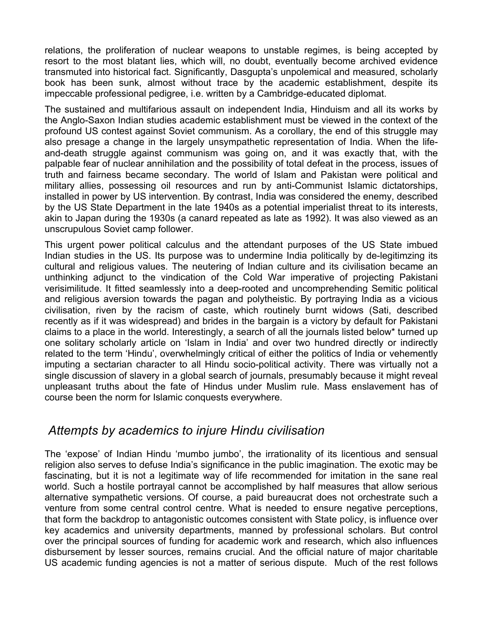relations, the proliferation of nuclear weapons to unstable regimes, is being accepted by resort to the most blatant lies, which will, no doubt, eventually become archived evidence transmuted into historical fact. Significantly, Dasgupta's unpolemical and measured, scholarly book has been sunk, almost without trace by the academic establishment, despite its impeccable professional pedigree, i.e. written by a Cambridge-educated diplomat.

The sustained and multifarious assault on independent India, Hinduism and all its works by the Anglo-Saxon Indian studies academic establishment must be viewed in the context of the profound US contest against Soviet communism. As a corollary, the end of this struggle may also presage a change in the largely unsympathetic representation of India. When the lifeand-death struggle against communism was going on, and it was exactly that, with the palpable fear of nuclear annihilation and the possibility of total defeat in the process, issues of truth and fairness became secondary. The world of Islam and Pakistan were political and military allies, possessing oil resources and run by anti-Communist Islamic dictatorships, installed in power by US intervention. By contrast, India was considered the enemy, described by the US State Department in the late 1940s as a potential imperialist threat to its interests, akin to Japan during the 1930s (a canard repeated as late as 1992). It was also viewed as an unscrupulous Soviet camp follower.

This urgent power political calculus and the attendant purposes of the US State imbued Indian studies in the US. Its purpose was to undermine India politically by de-legitimzing its cultural and religious values. The neutering of Indian culture and its civilisation became an unthinking adjunct to the vindication of the Cold War imperative of projecting Pakistani verisimilitude. It fitted seamlessly into a deep-rooted and uncomprehending Semitic political and religious aversion towards the pagan and polytheistic. By portraying India as a vicious civilisation, riven by the racism of caste, which routinely burnt widows (Sati, described recently as if it was widespread) and brides in the bargain is a victory by default for Pakistani claims to a place in the world. Interestingly, a search of all the journals listed below\* turned up one solitary scholarly article on 'Islam in India' and over two hundred directly or indirectly related to the term 'Hindu', overwhelmingly critical of either the politics of India or vehemently imputing a sectarian character to all Hindu socio-political activity. There was virtually not a single discussion of slavery in a global search of journals, presumably because it might reveal unpleasant truths about the fate of Hindus under Muslim rule. Mass enslavement has of course been the norm for Islamic conquests everywhere.

## *Attempts by academics to injure Hindu civilisation*

The 'expose' of Indian Hindu 'mumbo jumbo', the irrationality of its licentious and sensual religion also serves to defuse India's significance in the public imagination. The exotic may be fascinating, but it is not a legitimate way of life recommended for imitation in the sane real world. Such a hostile portrayal cannot be accomplished by half measures that allow serious alternative sympathetic versions. Of course, a paid bureaucrat does not orchestrate such a venture from some central control centre. What is needed to ensure negative perceptions, that form the backdrop to antagonistic outcomes consistent with State policy, is influence over key academics and university departments, manned by professional scholars. But control over the principal sources of funding for academic work and research, which also influences disbursement by lesser sources, remains crucial. And the official nature of major charitable US academic funding agencies is not a matter of serious dispute. Much of the rest follows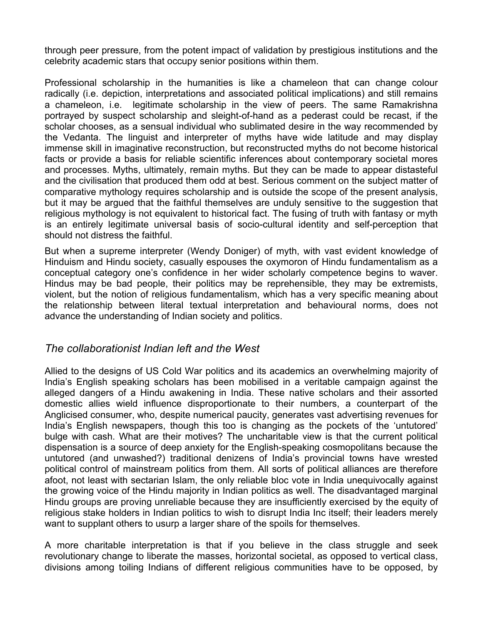through peer pressure, from the potent impact of validation by prestigious institutions and the celebrity academic stars that occupy senior positions within them.

Professional scholarship in the humanities is like a chameleon that can change colour radically (i.e. depiction, interpretations and associated political implications) and still remains a chameleon, i.e. legitimate scholarship in the view of peers. The same Ramakrishna portrayed by suspect scholarship and sleight-of-hand as a pederast could be recast, if the scholar chooses, as a sensual individual who sublimated desire in the way recommended by the Vedanta. The linguist and interpreter of myths have wide latitude and may display immense skill in imaginative reconstruction, but reconstructed myths do not become historical facts or provide a basis for reliable scientific inferences about contemporary societal mores and processes. Myths, ultimately, remain myths. But they can be made to appear distasteful and the civilisation that produced them odd at best. Serious comment on the subject matter of comparative mythology requires scholarship and is outside the scope of the present analysis, but it may be argued that the faithful themselves are unduly sensitive to the suggestion that religious mythology is not equivalent to historical fact. The fusing of truth with fantasy or myth is an entirely legitimate universal basis of socio-cultural identity and self-perception that should not distress the faithful.

But when a supreme interpreter (Wendy Doniger) of myth, with vast evident knowledge of Hinduism and Hindu society, casually espouses the oxymoron of Hindu fundamentalism as a conceptual category one's confidence in her wider scholarly competence begins to waver. Hindus may be bad people, their politics may be reprehensible, they may be extremists, violent, but the notion of religious fundamentalism, which has a very specific meaning about the relationship between literal textual interpretation and behavioural norms, does not advance the understanding of Indian society and politics.

#### *The collaborationist Indian left and the West*

Allied to the designs of US Cold War politics and its academics an overwhelming majority of India's English speaking scholars has been mobilised in a veritable campaign against the alleged dangers of a Hindu awakening in India. These native scholars and their assorted domestic allies wield influence disproportionate to their numbers, a counterpart of the Anglicised consumer, who, despite numerical paucity, generates vast advertising revenues for India's English newspapers, though this too is changing as the pockets of the 'untutored' bulge with cash. What are their motives? The uncharitable view is that the current political dispensation is a source of deep anxiety for the English-speaking cosmopolitans because the untutored (and unwashed?) traditional denizens of India's provincial towns have wrested political control of mainstream politics from them. All sorts of political alliances are therefore afoot, not least with sectarian Islam, the only reliable bloc vote in India unequivocally against the growing voice of the Hindu majority in Indian politics as well. The disadvantaged marginal Hindu groups are proving unreliable because they are insufficiently exercised by the equity of religious stake holders in Indian politics to wish to disrupt India Inc itself; their leaders merely want to supplant others to usurp a larger share of the spoils for themselves.

A more charitable interpretation is that if you believe in the class struggle and seek revolutionary change to liberate the masses, horizontal societal, as opposed to vertical class, divisions among toiling Indians of different religious communities have to be opposed, by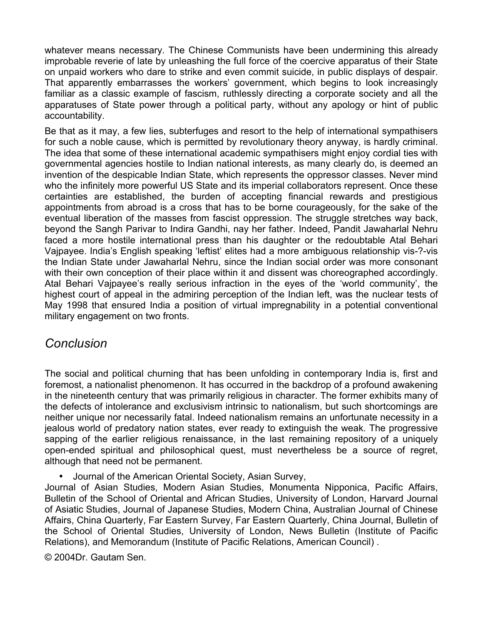whatever means necessary. The Chinese Communists have been undermining this already improbable reverie of late by unleashing the full force of the coercive apparatus of their State on unpaid workers who dare to strike and even commit suicide, in public displays of despair. That apparently embarrasses the workers' government, which begins to look increasingly familiar as a classic example of fascism, ruthlessly directing a corporate society and all the apparatuses of State power through a political party, without any apology or hint of public accountability.

Be that as it may, a few lies, subterfuges and resort to the help of international sympathisers for such a noble cause, which is permitted by revolutionary theory anyway, is hardly criminal. The idea that some of these international academic sympathisers might enjoy cordial ties with governmental agencies hostile to Indian national interests, as many clearly do, is deemed an invention of the despicable Indian State, which represents the oppressor classes. Never mind who the infinitely more powerful US State and its imperial collaborators represent. Once these certainties are established, the burden of accepting financial rewards and prestigious appointments from abroad is a cross that has to be borne courageously, for the sake of the eventual liberation of the masses from fascist oppression. The struggle stretches way back, beyond the Sangh Parivar to Indira Gandhi, nay her father. Indeed, Pandit Jawaharlal Nehru faced a more hostile international press than his daughter or the redoubtable Atal Behari Vajpayee. India's English speaking 'leftist' elites had a more ambiguous relationship vis-?-vis the Indian State under Jawaharlal Nehru, since the Indian social order was more consonant with their own conception of their place within it and dissent was choreographed accordingly. Atal Behari Vajpayee's really serious infraction in the eyes of the 'world community', the highest court of appeal in the admiring perception of the Indian left, was the nuclear tests of May 1998 that ensured India a position of virtual impregnability in a potential conventional military engagement on two fronts.

#### *Conclusion*

The social and political churning that has been unfolding in contemporary India is, first and foremost, a nationalist phenomenon. It has occurred in the backdrop of a profound awakening in the nineteenth century that was primarily religious in character. The former exhibits many of the defects of intolerance and exclusivism intrinsic to nationalism, but such shortcomings are neither unique nor necessarily fatal. Indeed nationalism remains an unfortunate necessity in a jealous world of predatory nation states, ever ready to extinguish the weak. The progressive sapping of the earlier religious renaissance, in the last remaining repository of a uniquely open-ended spiritual and philosophical quest, must nevertheless be a source of regret, although that need not be permanent.

• Journal of the American Oriental Society, Asian Survey,

Journal of Asian Studies, Modern Asian Studies, Monumenta Nipponica, Pacific Affairs, Bulletin of the School of Oriental and African Studies, University of London, Harvard Journal of Asiatic Studies, Journal of Japanese Studies, Modern China, Australian Journal of Chinese Affairs, China Quarterly, Far Eastern Survey, Far Eastern Quarterly, China Journal, Bulletin of the School of Oriental Studies, University of London, News Bulletin (Institute of Pacific Relations), and Memorandum (Institute of Pacific Relations, American Council) .

© 2004Dr. Gautam Sen.